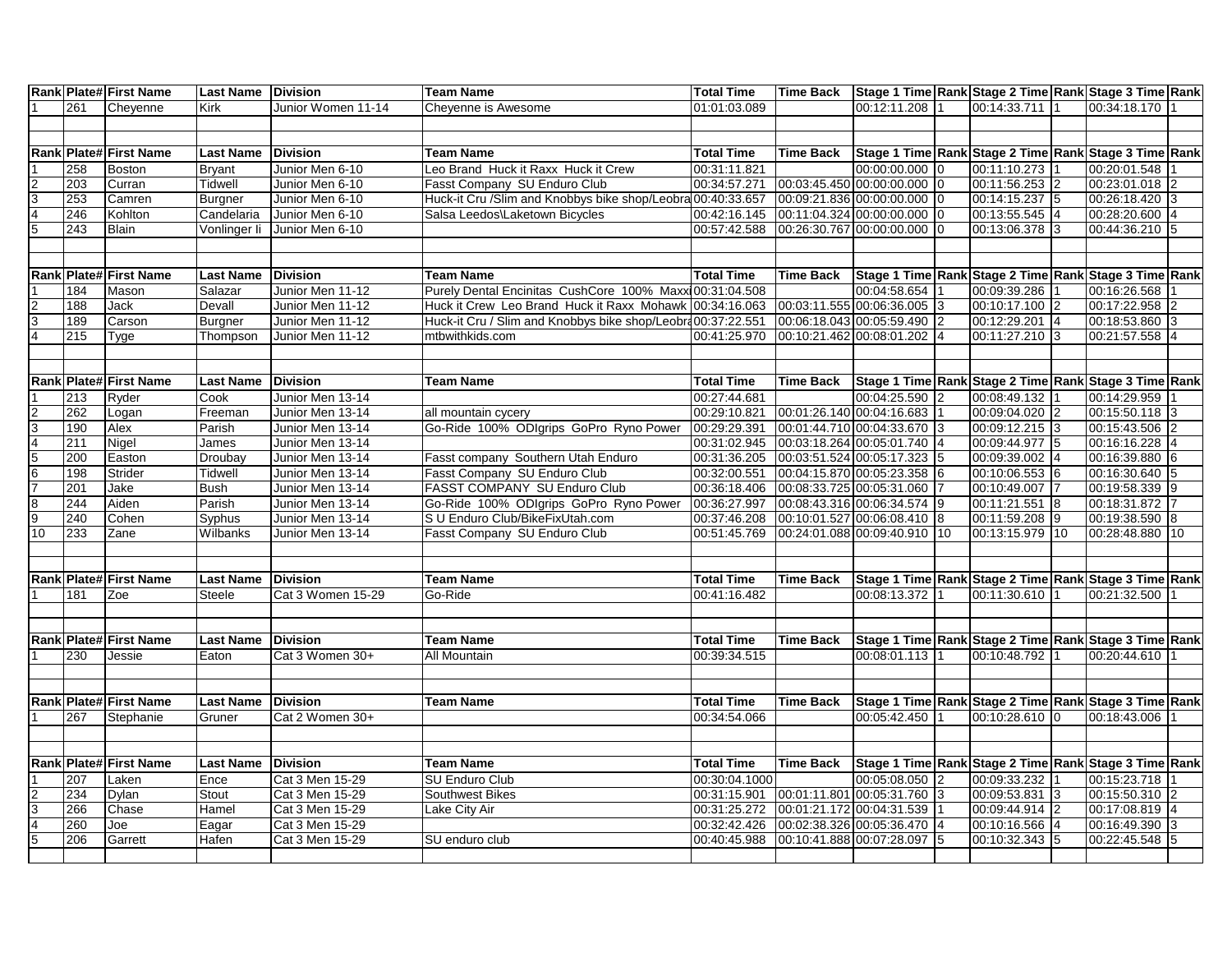|                                                                                     |     | Rank Plate# First Name        | <b>Last Name</b> | <b>Division</b>    | <b>Team Name</b>                                            | <b>Total Time</b> | <b>Time Back</b> | Stage 1 Time Rank Stage 2 Time Rank Stage 3 Time Rank |                 |                 |                 |  |
|-------------------------------------------------------------------------------------|-----|-------------------------------|------------------|--------------------|-------------------------------------------------------------|-------------------|------------------|-------------------------------------------------------|-----------------|-----------------|-----------------|--|
|                                                                                     | 261 | Cheyenne                      | Kirk             | Junior Women 11-14 | Cheyenne is Awesome                                         | 01:01:03.089      |                  | 00:12:11.208                                          |                 | 00:14:33.711    | 00:34:18.170    |  |
|                                                                                     |     |                               |                  |                    |                                                             |                   |                  |                                                       |                 |                 |                 |  |
|                                                                                     |     |                               |                  |                    |                                                             |                   |                  |                                                       |                 |                 |                 |  |
|                                                                                     |     | Rank Plate# First Name        | <b>Last Name</b> | <b>Division</b>    | <b>Team Name</b>                                            | <b>Total Time</b> | <b>Time Back</b> | Stage 1 Time Rank Stage 2 Time Rank Stage 3 Time Rank |                 |                 |                 |  |
|                                                                                     | 258 | <b>Boston</b>                 | <b>Bryant</b>    | Junior Men 6-10    | Leo Brand Huck it Raxx Huck it Crew                         | 00:31:11.821      |                  | 00:00:00.000                                          | $\overline{0}$  | 00:11:10.273    | 00:20:01.548    |  |
|                                                                                     | 203 | Curran                        | <b>Tidwell</b>   | Junior Men 6-10    | Fasst Company SU Enduro Club                                | 00:34:57.271      |                  | 00:03:45.450 00:00:00.000                             | $\overline{0}$  | 00:11:56.253 2  | 00:23:01.018 2  |  |
| $\frac{2}{3}$ $\frac{3}{5}$                                                         | 253 | Camren                        | <b>Burgner</b>   | Junior Men 6-10    | Huck-it Cru /Slim and Knobbys bike shop/Leobra 00:40:33.657 |                   |                  | 00:09:21.836 00:00:00.000                             | 10              | 00:14:15.237 5  | 00:26:18.420 3  |  |
|                                                                                     | 246 | Kohlton                       | Candelaria       | Junior Men 6-10    | Salsa Leedos\Laketown Bicycles                              | 00:42:16.145      |                  | 00:11:04.324 00:00:00.000                             | $\overline{0}$  | 00:13:55.545 4  | 00:28:20.600 4  |  |
|                                                                                     | 243 | Blain                         | Vonlinger li     | Junior Men 6-10    |                                                             | 00:57:42.588      |                  | 00:26:30.767 00:00:00.000                             |                 | 00:13:06.378 3  | 00:44:36.210 5  |  |
|                                                                                     |     |                               |                  |                    |                                                             |                   |                  |                                                       |                 |                 |                 |  |
|                                                                                     |     |                               |                  |                    |                                                             |                   |                  |                                                       |                 |                 |                 |  |
|                                                                                     |     | <b>Rank Plate# First Name</b> | <b>Last Name</b> | <b>Division</b>    | <b>Team Name</b>                                            | <b>Total Time</b> | Time Back        | Stage 1 Time Rank Stage 2 Time Rank Stage 3 Time Rank |                 |                 |                 |  |
|                                                                                     | 184 | Mason                         | Salazar          | Junior Men 11-12   | Purely Dental Encinitas CushCore 100% Maxxi00:31:04.508     |                   |                  | 00:04:58.654                                          |                 | 00:09:39.286    | 00:16:26.568    |  |
|                                                                                     | 188 | Jack                          | Devall           | Junior Men 11-12   | Huck it Crew Leo Brand Huck it Raxx Mohawk 00:34:16.063     |                   |                  | 00:03:11.555 00:06:36.005                             | 3               | 00:10:17.100 2  | 00:17:22.958 2  |  |
| $\frac{2}{4}$                                                                       | 189 | Carson                        | <b>Burgner</b>   | Junior Men 11-12   | Huck-it Cru / Slim and Knobbys bike shop/Leobra00:37:22.551 |                   |                  | 00:06:18.043 00:05:59.490                             | <u>2</u>        | 00:12:29.201 4  | 00:18:53.860 3  |  |
|                                                                                     | 215 | Tyge                          | Thompson         | Junior Men 11-12   | mtbwithkids.com                                             | 00:41:25.970      |                  | 00:10:21.462 00:08:01.202                             |                 | 00:11:27.210 3  | 00:21:57.558 4  |  |
|                                                                                     |     |                               |                  |                    |                                                             |                   |                  |                                                       |                 |                 |                 |  |
|                                                                                     |     |                               |                  |                    |                                                             |                   |                  |                                                       |                 |                 |                 |  |
|                                                                                     |     | Rank Plate# First Name        | <b>Last Name</b> | <b>Division</b>    | <b>Team Name</b>                                            | <b>Total Time</b> | Time Back        | Stage 1 Time Rank Stage 2 Time Rank Stage 3 Time Rank |                 |                 |                 |  |
|                                                                                     | 213 | Ryder                         | Cook             | Junior Men 13-14   |                                                             | 00:27:44.681      |                  | 00:04:25.590                                          |                 | 00:08:49.132    | 00:14:29.959    |  |
| $\frac{2}{3}$ $\frac{3}{4}$ $\frac{4}{5}$ $\frac{5}{6}$ $\frac{7}{7}$ $\frac{8}{9}$ | 262 | Logan                         | Freeman          | Junior Men 13-14   | all mountain cycery                                         | 00:29:10.821      |                  | 00:01:26.140 00:04:16.683                             |                 | 00:09:04.020 2  | 00:15:50.118 3  |  |
|                                                                                     | 190 | Alex                          | Parish           | Junior Men 13-14   | Go-Ride 100% ODIgrips GoPro Ryno Power                      | 00:29:29.391      |                  | 00:01:44.710 00:04:33.670 3                           |                 | 00:09:12.215 3  | 00:15:43.506 2  |  |
|                                                                                     | 211 | Nigel                         | James            | Junior Men 13-14   |                                                             | 00:31:02.945      |                  | 00:03:18.264 00:05:01.740                             |                 | 00:09:44.977 5  | 00:16:16.228 4  |  |
|                                                                                     | 200 | Easton                        | Droubay          | Junior Men 13-14   | Fasst company Southern Utah Enduro                          | 00:31:36.205      |                  | 00:03:51.524 00:05:17.323                             |                 | 00:09:39.002 4  | 00:16:39.880 6  |  |
|                                                                                     | 198 | Strider                       | <b>Tidwell</b>   | Junior Men 13-14   | Fasst Company SU Enduro Club                                | 00:32:00.551      |                  | 00:04:15.870 00:05:23.358 6                           |                 | 00:10:06.553 6  | 00:16:30.640 5  |  |
|                                                                                     | 201 | Jake                          | Bush             | Junior Men 13-14   | FASST COMPANY SU Enduro Club                                | 00:36:18.406      |                  | 00:08:33.725 00:05:31.060                             |                 | 00:10:49.007 7  | 00:19:58.339 9  |  |
|                                                                                     | 244 | Aiden                         | Parish           | Junior Men 13-14   | Go-Ride 100% ODIgrips GoPro Ryno Power                      | 00:36:27.997      |                  | 00:08:43.316 00:06:34.574 9                           |                 | 00:11:21.551 8  | 00:18:31.872    |  |
|                                                                                     | 240 | Cohen                         | Syphus           | Junior Men 13-14   | S U Enduro Club/BikeFixUtah.com                             | 00:37:46.208      |                  | 00:10:01.527 00:06:08.410                             | <b>8</b>        | 00:11:59.208 9  | 00:19:38.590 8  |  |
| 10                                                                                  | 233 | Zane                          | Wilbanks         | Junior Men 13-14   | Fasst Company SU Enduro Club                                | 00:51:45.769      |                  | 00:24:01.088 00:09:40.910 10                          |                 | 00:13:15.979 10 | 00:28:48.880 10 |  |
|                                                                                     |     |                               |                  |                    |                                                             |                   |                  |                                                       |                 |                 |                 |  |
|                                                                                     |     |                               |                  |                    |                                                             |                   |                  |                                                       |                 |                 |                 |  |
|                                                                                     |     | Rank Plate# First Name        | <b>Last Name</b> | <b>Division</b>    | <b>Team Name</b>                                            | <b>Total Time</b> | Time Back        | Stage 1 Time Rank Stage 2 Time Rank Stage 3 Time Rank |                 |                 |                 |  |
|                                                                                     | 181 | Zoe                           | <b>Steele</b>    | Cat 3 Women 15-29  | Go-Ride                                                     | 00:41:16.482      |                  | 00:08:13.372                                          |                 | 00:11:30.610    | 00:21:32.500    |  |
|                                                                                     |     |                               |                  |                    |                                                             |                   |                  |                                                       |                 |                 |                 |  |
|                                                                                     |     |                               |                  |                    |                                                             |                   |                  |                                                       |                 |                 |                 |  |
|                                                                                     |     | Rank Plate# First Name        | Last Name        | <b>Division</b>    | <b>Team Name</b>                                            | <b>Total Time</b> | <b>Time Back</b> | Stage 1 Time Rank Stage 2 Time Rank Stage 3 Time Rank |                 |                 |                 |  |
|                                                                                     | 230 | Jessie                        | Eaton            | Cat 3 Women 30+    | All Mountain                                                | 00:39:34.515      |                  | 00:08:01.113                                          |                 | 00:10:48.792    | 00:20:44.610 1  |  |
|                                                                                     |     |                               |                  |                    |                                                             |                   |                  |                                                       |                 |                 |                 |  |
|                                                                                     |     |                               |                  |                    |                                                             |                   |                  |                                                       |                 |                 |                 |  |
|                                                                                     |     | Rank Plate# First Name        | <b>Last Name</b> | <b>Division</b>    | <b>Team Name</b>                                            | <b>Total Time</b> | <b>Time Back</b> | Stage 1 Time Rank Stage 2 Time Rank Stage 3 Time Rank |                 |                 |                 |  |
|                                                                                     | 267 | Stephanie                     | Gruner           | Cat 2 Women 30+    |                                                             | 00:34:54.066      |                  | 00:05:42.450                                          |                 | 00:10:28.610 0  | 00:18:43.006    |  |
|                                                                                     |     |                               |                  |                    |                                                             |                   |                  |                                                       |                 |                 |                 |  |
|                                                                                     |     |                               |                  |                    |                                                             |                   |                  |                                                       |                 |                 |                 |  |
|                                                                                     |     | Rank Plate# First Name        | <b>Last Name</b> | <b>Division</b>    | <b>Team Name</b>                                            | <b>Total Time</b> | Time Back        | Stage 1 Time Rank Stage 2 Time Rank Stage 3 Time Rank |                 |                 |                 |  |
|                                                                                     | 207 | Laken                         | Ence             | Cat 3 Men 15-29    | <b>SU Enduro Club</b>                                       | 00:30:04.1000     |                  | 00:05:08.050                                          | 2               | 00:09:33.232    | 00:15:23.718    |  |
| $\frac{2}{3}$ $\frac{3}{4}$ $\frac{4}{5}$                                           | 234 | Dylan                         | Stout            | Cat 3 Men 15-29    | Southwest Bikes                                             | 00:31:15.901      |                  | 00:01:11.801 00:05:31.760                             | <sup>3</sup>    | 00:09:53.831 3  | 00:15:50.310 2  |  |
|                                                                                     | 266 | Chase                         | Hamel            | Cat 3 Men 15-29    | Lake City Air                                               | 00:31:25.272      |                  | 00:01:21.172 00:04:31.539                             |                 | 00:09:44.914 2  | 00:17:08.819 4  |  |
|                                                                                     | 260 | Joe                           | Eagar            | Cat 3 Men 15-29    |                                                             | 00:32:42.426      |                  | 00:02:38.326 00:05:36.470                             | $\vert 4 \vert$ | 00:10:16.566 4  | 00:16:49.390 3  |  |
|                                                                                     | 206 | Garrett                       | Hafen            | Cat 3 Men 15-29    | SU enduro club                                              | 00:40:45.988      |                  | 00:10:41.888 00:07:28.097 5                           |                 | 00:10:32.343 5  | 00:22:45.548 5  |  |
|                                                                                     |     |                               |                  |                    |                                                             |                   |                  |                                                       |                 |                 |                 |  |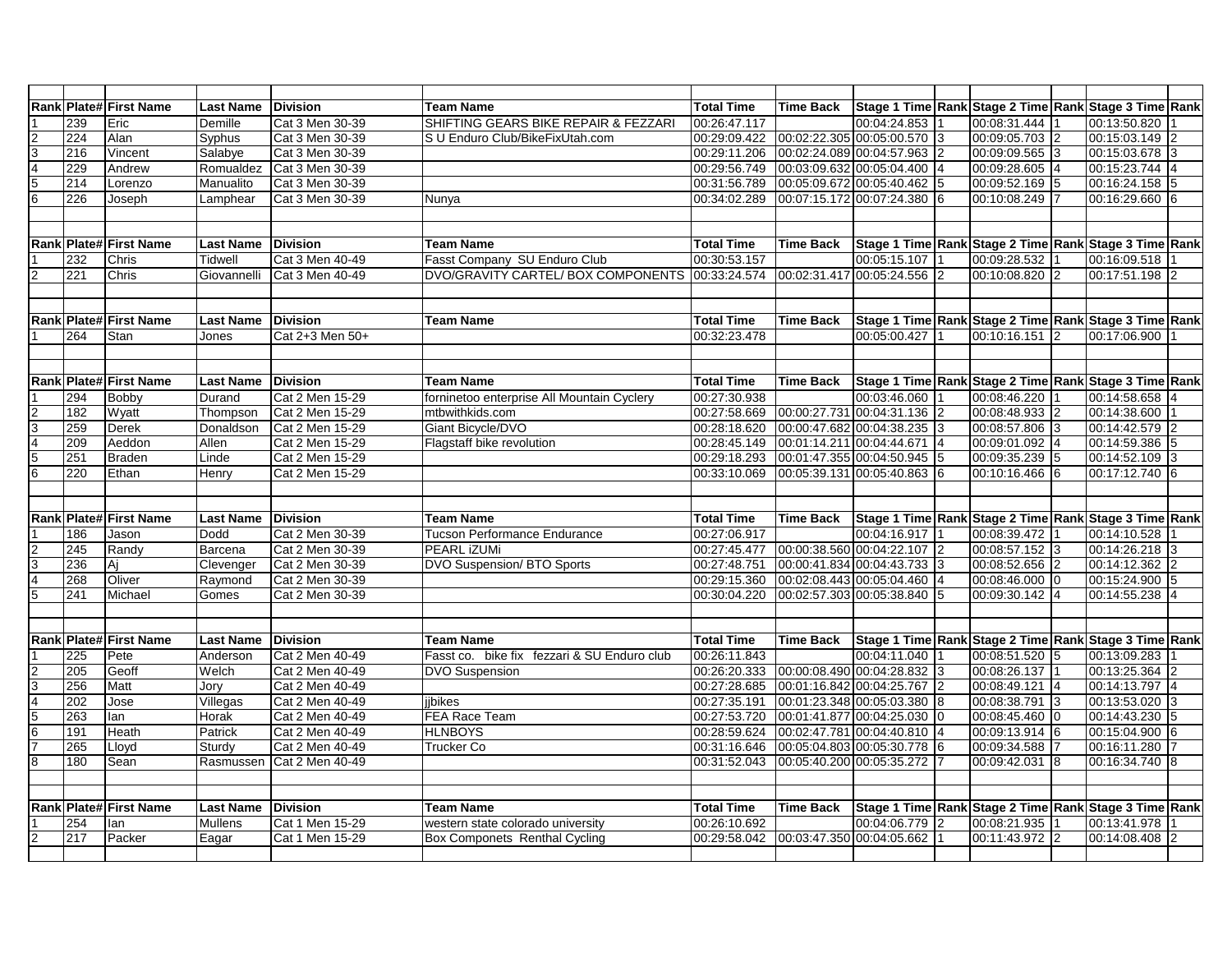|                                                           |     | Rank Plate# First Name        | <b>Last Name</b> | <b>Division</b> | <b>Team Name</b>                            | <b>Total Time</b> | <b>Time Back</b> | Stage 1 Time Rank Stage 2 Time Rank Stage 3 Time Rank |                |                |          |                |  |
|-----------------------------------------------------------|-----|-------------------------------|------------------|-----------------|---------------------------------------------|-------------------|------------------|-------------------------------------------------------|----------------|----------------|----------|----------------|--|
|                                                           | 239 | Eric                          | Demille          | Cat 3 Men 30-39 | SHIFTING GEARS BIKE REPAIR & FEZZARI        | 00:26:47.117      |                  | 00:04:24.853                                          |                | 00:08:31.444 1 |          | 00:13:50.820   |  |
|                                                           | 224 | Alan                          | Syphus           | Cat 3 Men 30-39 | S U Enduro Club/BikeFixUtah.com             | 00:29:09.422      |                  | 00:02:22.305 00:05:00.570                             | 3              | 00:09:05.703 2 |          | 00:15:03.149   |  |
| $\begin{array}{c c}\n2 & 3 \\ \hline\n6 & 6\n\end{array}$ | 216 | Vincent                       | Salabye          | Cat 3 Men 30-39 |                                             | 00:29:11.206      |                  | 00:02:24.089 00:04:57.963                             | $\overline{2}$ | 00:09:09.565 3 |          | 00:15:03.678 3 |  |
|                                                           | 229 | Andrew                        | Romualdez        | Cat 3 Men 30-39 |                                             | 00:29:56.749      |                  | 00:03:09.632 00:05:04.400                             | $\overline{4}$ | 00:09:28.605 4 |          | 00:15:23.744   |  |
|                                                           | 214 | Lorenzo                       | Manualito        | Cat 3 Men 30-39 |                                             | 00:31:56.789      |                  | 00:05:09.672 00:05:40.462                             | 5              | 00:09:52.169 5 |          | 00:16:24.158   |  |
|                                                           | 226 | Joseph                        | Lamphear         | Cat 3 Men 30-39 | Nunya                                       | 00:34:02.289      |                  | 00:07:15.172 00:07:24.380 6                           |                | 00:10:08.249 7 |          | 00:16:29.660 6 |  |
|                                                           |     |                               |                  |                 |                                             |                   |                  |                                                       |                |                |          |                |  |
|                                                           |     |                               |                  |                 |                                             |                   |                  |                                                       |                |                |          |                |  |
|                                                           |     | Rank Plate# First Name        | <b>Last Name</b> | <b>Division</b> | <b>Team Name</b>                            | <b>Total Time</b> | <b>Time Back</b> | Stage 1 Time Rank Stage 2 Time Rank Stage 3 Time Rank |                |                |          |                |  |
|                                                           | 232 | Chris                         | <b>Tidwell</b>   | Cat 3 Men 40-49 | Fasst Company SU Enduro Club                | 00:30:53.157      |                  | 00:05:15.107                                          |                | 00:09:28.532   |          | 00:16:09.518   |  |
| $\overline{c}$                                            | 221 | Chris                         | Giovannelli      | Cat 3 Men 40-49 | DVO/GRAVITY CARTEL/ BOX COMPONENTS          | 00:33:24.574      |                  | 00:02:31.417 00:05:24.556                             |                | 00:10:08.820 2 |          | 00:17:51.198   |  |
|                                                           |     |                               |                  |                 |                                             |                   |                  |                                                       |                |                |          |                |  |
|                                                           |     |                               |                  |                 |                                             |                   |                  |                                                       |                |                |          |                |  |
|                                                           |     | <b>Rank Plate# First Name</b> | <b>Last Name</b> | <b>Division</b> | <b>Team Name</b>                            | <b>Total Time</b> | <b>Time Back</b> | Stage 1 Time Rank Stage 2 Time Rank Stage 3 Time Rank |                |                |          |                |  |
|                                                           | 264 | Stan                          | Jones            | Cat 2+3 Men 50+ |                                             | 00:32:23.478      |                  | 00:05:00.427                                          |                | 00:10:16.151 2 |          | 00:17:06.900   |  |
|                                                           |     |                               |                  |                 |                                             |                   |                  |                                                       |                |                |          |                |  |
|                                                           |     |                               |                  |                 |                                             |                   |                  |                                                       |                |                |          |                |  |
|                                                           |     | Rank Plate# First Name        | <b>Last Name</b> | <b>Division</b> | <b>Team Name</b>                            | <b>Total Time</b> | <b>Time Back</b> | Stage 1 Time Rank Stage 2 Time Rank Stage 3 Time Rank |                |                |          |                |  |
|                                                           | 294 | Bobby                         | Durand           | Cat 2 Men 15-29 | forninetoo enterprise All Mountain Cyclery  | 00:27:30.938      |                  | 00:03:46.060                                          |                | 00:08:46.220   |          | 00:14:58.658   |  |
|                                                           | 182 | Wyatt                         | Thompson         | Cat 2 Men 15-29 | mtbwithkids.com                             | 00:27:58.669      |                  | 00:00:27.731 00:04:31.136                             | $\overline{2}$ | 00:08:48.933 2 |          | 00:14:38.600   |  |
| $\begin{array}{c c}\n2 & 3 \\ \hline\n6 & 6\n\end{array}$ | 259 | Derek                         | Donaldson        | Cat 2 Men 15-29 | Giant Bicycle/DVO                           | 00:28:18.620      |                  | 00:00:47.682 00:04:38.235                             | 3              | 00:08:57.806 3 |          | 00:14:42.579   |  |
|                                                           | 209 | Aeddon                        | Allen            | Cat 2 Men 15-29 | Flagstaff bike revolution                   | 00:28:45.149      |                  | 00:01:14.211 00:04:44.671                             | 4              | 00:09:01.092 4 |          | 00:14:59.386   |  |
|                                                           | 251 | <b>Braden</b>                 | Linde            | Cat 2 Men 15-29 |                                             | 00:29:18.293      |                  | 00:01:47.355 00:04:50.945                             | 5              | 00:09:35.239 5 |          | 00:14:52.109 3 |  |
|                                                           | 220 | Ethan                         | Henry            | Cat 2 Men 15-29 |                                             | 00:33:10.069      |                  | 00:05:39.131 00:05:40.863                             | 6              | 00:10:16.466 6 |          | 00:17:12.740 6 |  |
|                                                           |     |                               |                  |                 |                                             |                   |                  |                                                       |                |                |          |                |  |
|                                                           |     |                               |                  |                 |                                             |                   |                  |                                                       |                |                |          |                |  |
|                                                           |     | Rank Plate# First Name        | <b>Last Name</b> | <b>Division</b> | <b>Team Name</b>                            | <b>Total Time</b> | <b>Time Back</b> | Stage 1 Time Rank Stage 2 Time Rank Stage 3 Time Rank |                |                |          |                |  |
|                                                           | 186 | Jason                         | Dodd             | Cat 2 Men 30-39 | <b>Tucson Performance Endurance</b>         | 00:27:06.917      |                  | 00:04:16.917                                          |                | 00:08:39.472   |          | 00:14:10.528   |  |
|                                                           | 245 | Randy                         | Barcena          | Cat 2 Men 30-39 | <b>PEARL IZUMI</b>                          | 00:27:45.477      |                  | 00:00:38.560 00:04:22.107                             | 2              | 00:08:57.152 3 |          | 00:14:26.218 3 |  |
| $\frac{2}{5}$                                             | 236 | Aj                            | Clevenger        | Cat 2 Men 30-39 | DVO Suspension/ BTO Sports                  | 00:27:48.751      |                  | 00:00:41.834 00:04:43.733 3                           |                | 00:08:52.656 2 |          | 00:14:12.362   |  |
|                                                           | 268 | Oliver                        | Raymond          | Cat 2 Men 30-39 |                                             | 00:29:15.360      |                  | 00:02:08.443 00:05:04.460                             | $\overline{4}$ | 00:08:46.000 0 |          | 00:15:24.900   |  |
|                                                           | 241 | Michael                       | Gomes            | Cat 2 Men 30-39 |                                             | 00:30:04.220      |                  | 00:02:57.303 00:05:38.840                             | 5              | 00:09:30.142 4 |          | 00:14:55.238   |  |
|                                                           |     |                               |                  |                 |                                             |                   |                  |                                                       |                |                |          |                |  |
|                                                           |     |                               |                  |                 |                                             |                   |                  |                                                       |                |                |          |                |  |
|                                                           |     | Rank Plate# First Name        | <b>Last Name</b> | <b>Division</b> | <b>Team Name</b>                            | <b>Total Time</b> | <b>Time Back</b> | Stage 1 Time Rank Stage 2 Time Rank Stage 3 Time Rank |                |                |          |                |  |
|                                                           | 225 | Pete                          | Anderson         | Cat 2 Men 40-49 | Fasst co. bike fix fezzari & SU Enduro club | 00:26:11.843      |                  | 00:04:11.040                                          |                | 00:08:51.520 5 |          | 00:13:09.283   |  |
|                                                           | 205 | Geoff                         | Welch            | Cat 2 Men 40-49 | <b>DVO Suspension</b>                       | 00:26:20.333      |                  | 00:00:08.490 00:04:28.832 3                           |                | 00:08:26.137 1 |          | 00:13:25.364   |  |
|                                                           | 256 | Matt                          | Jory             | Cat 2 Men 40-49 |                                             | 00:27:28.685      |                  | 00:01:16.842 00:04:25.767 2                           |                | 00:08:49.121 4 |          | 00:14:13.797   |  |
| $\frac{2}{3}$ $\frac{3}{4}$ $\frac{4}{5}$ $\frac{6}{7}$   | 202 | Jose                          | Villegas         | Cat 2 Men 40-49 | jibikes                                     | 00:27:35.191      |                  | 00:01:23.348 00:05:03.380                             | 8              | 00:08:38.791   | 13       | 00:13:53.020   |  |
|                                                           | 263 | lan                           | Horak            | Cat 2 Men 40-49 | <b>FEA Race Team</b>                        | 00:27:53.720      |                  | 00:01:41.877 00:04:25.030                             |                | 00:08:45.460 0 |          | 00:14:43.230   |  |
|                                                           | 191 | Heath                         | Patrick          | Cat 2 Men 40-49 | <b>HLNBOYS</b>                              | 00:28:59.624      |                  | 00:02:47.781 00:04:40.810                             |                | 00:09:13.914 6 |          | 00:15:04.900 6 |  |
|                                                           | 265 | Lloyd                         | Sturdy           | Cat 2 Men 40-49 | Trucker Co                                  | 00:31:16.646      |                  | 00:05:04.803 00:05:30.778                             | 6              | 00:09:34.588 7 |          | 00:16:11.280   |  |
| $\overline{8}$                                            | 180 | Sean                          | Rasmussen        | Cat 2 Men 40-49 |                                             | 00:31:52.043      |                  | 00:05:40.200 00:05:35.272                             |                | 00:09:42.031 8 |          | 00:16:34.740 8 |  |
|                                                           |     |                               |                  |                 |                                             |                   |                  |                                                       |                |                |          |                |  |
|                                                           |     |                               |                  |                 |                                             |                   |                  |                                                       |                |                |          |                |  |
|                                                           |     | Rank Plate# First Name        | <b>Last Name</b> | <b>Division</b> | <b>Team Name</b>                            | <b>Total Time</b> | <b>Time Back</b> | Stage 1 Time Rank Stage 2 Time Rank Stage 3 Time Rank |                |                |          |                |  |
|                                                           | 254 | lan                           | Mullens          | Cat 1 Men 15-29 | western state colorado university           | 00:26:10.692      |                  | 00:04:06.779                                          | $\overline{2}$ | 00:08:21.935   |          | 00:13:41.978   |  |
| $\overline{c}$                                            | 217 | Packer                        | Eagar            | Cat 1 Men 15-29 | Box Componets Renthal Cycling               | 00:29:58.042      |                  | 00:03:47.350 00:04:05.662                             |                | 00:11:43.972   | <b>2</b> | 00:14:08.408   |  |
|                                                           |     |                               |                  |                 |                                             |                   |                  |                                                       |                |                |          |                |  |
|                                                           |     |                               |                  |                 |                                             |                   |                  |                                                       |                |                |          |                |  |